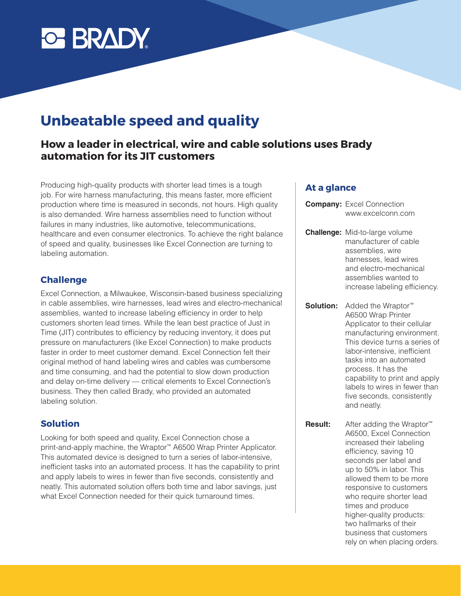

# **Unbeatable speed and quality**

## **How a leader in electrical, wire and cable solutions uses Brady automation for its JIT customers**

Producing high-quality products with shorter lead times is a tough job. For wire harness manufacturing, this means faster, more efficient production where time is measured in seconds, not hours. High quality is also demanded. Wire harness assemblies need to function without failures in many industries, like automotive, telecommunications, healthcare and even consumer electronics. To achieve the right balance of speed and quality, businesses like Excel Connection are turning to labeling automation.

#### **Challenge**

Excel Connection, a Milwaukee, Wisconsin-based business specializing in cable assemblies, wire harnesses, lead wires and electro-mechanical assemblies, wanted to increase labeling efficiency in order to help customers shorten lead times. While the lean best practice of Just in Time (JIT) contributes to efficiency by reducing inventory, it does put pressure on manufacturers (like Excel Connection) to make products faster in order to meet customer demand. Excel Connection felt their original method of hand labeling wires and cables was cumbersome and time consuming, and had the potential to slow down production and delay on-time delivery — critical elements to Excel Connection's business. They then called Brady, who provided an automated labeling solution.

#### **Solution**

Looking for both speed and quality, Excel Connection chose a print-and-apply machine, the Wraptor™ A6500 Wrap Printer Applicator. This automated device is designed to turn a series of labor-intensive, inefficient tasks into an automated process. It has the capability to print and apply labels to wires in fewer than five seconds, consistently and neatly. This automated solution offers both time and labor savings, just what Excel Connection needed for their quick turnaround times.

#### **At a glance**

- **Company:** Excel Connection www.excelconn.com
- **Challenge:** Mid-to-large volume manufacturer of cable assemblies, wire harnesses, lead wires and electro-mechanical assemblies wanted to increase labeling efficiency.
- **Solution:** Added the Wraptor<sup>™</sup> A6500 Wrap Printer Applicator to their cellular manufacturing environment. This device turns a series of labor-intensive, inefficient tasks into an automated process. It has the capability to print and apply labels to wires in fewer than five seconds, consistently and neatly.
- **Result:** After adding the Wraptor<sup>™</sup> A6500, Excel Connection increased their labeling efficiency, saving 10 seconds per label and up to 50% in labor. This allowed them to be more responsive to customers who require shorter lead times and produce higher-quality products: two hallmarks of their business that customers rely on when placing orders.